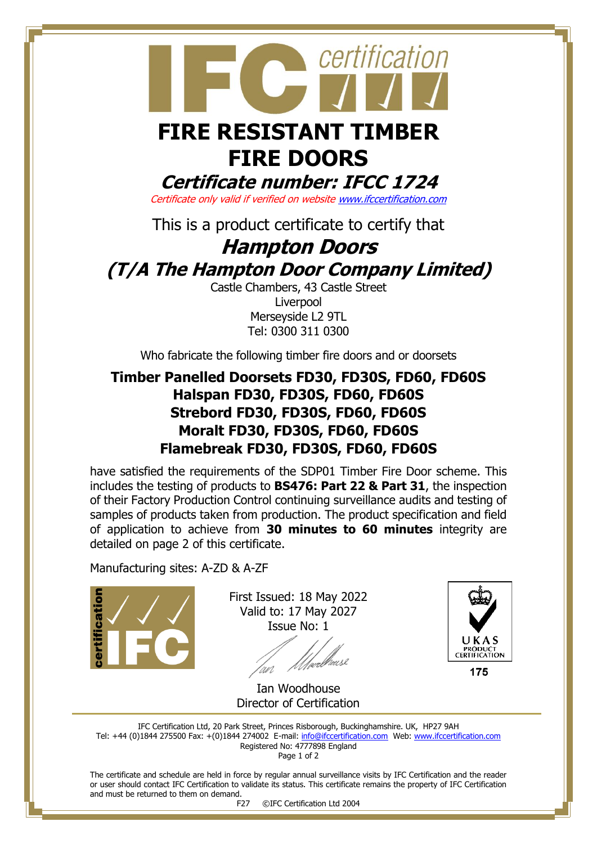

# **FIRE DOORS**

**Certificate number: IFCC 1724**

Certificate only valid if verified on websit[e www.ifccertification.com](http://www.ifccertification.com/)

This is a product certificate to certify that

# **Hampton Doors (T/A The Hampton Door Company Limited)**

Castle Chambers, 43 Castle Street Liverpool Merseyside L2 9TL Tel: 0300 311 0300

Who fabricate the following timber fire doors and or doorsets

## **Timber Panelled Doorsets FD30, FD30S, FD60, FD60S Halspan FD30, FD30S, FD60, FD60S Strebord FD30, FD30S, FD60, FD60S Moralt FD30, FD30S, FD60, FD60S Flamebreak FD30, FD30S, FD60, FD60S**

have satisfied the requirements of the SDP01 Timber Fire Door scheme. This includes the testing of products to **BS476: Part 22 & Part 31**, the inspection of their Factory Production Control continuing surveillance audits and testing of samples of products taken from production. The product specification and field of application to achieve from **30 minutes to 60 minutes** integrity are detailed on page 2 of this certificate.

Manufacturing sites: A-ZD & A-ZF



First Issued: 18 May 2022 Valid to: 17 May 2027 Issue No: 1

urlheusl



175

Ian Woodhouse Director of Certification

IFC Certification Ltd, 20 Park Street, Princes Risborough, Buckinghamshire. UK, HP27 9AH Tel: +44 (0)1844 275500 Fax: +(0)1844 274002 E-mail[: info@ifccertification.com](mailto:info@ifccertification.com) Web: [www.ifccertification.com](http://www.ifccertification.com/) Registered No: 4777898 England Page 1 of 2

The certificate and schedule are held in force by regular annual surveillance visits by IFC Certification and the reader or user should contact IFC Certification to validate its status. This certificate remains the property of IFC Certification and must be returned to them on demand.<br>F27

©IFC Certification Ltd 2004